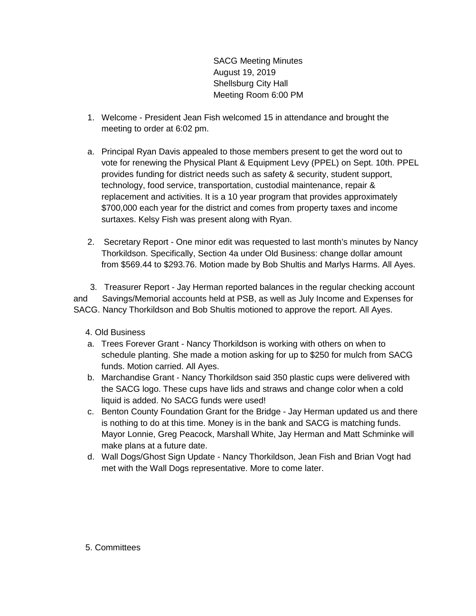SACG Meeting Minutes August 19, 2019 Shellsburg City Hall Meeting Room 6:00 PM

- 1. Welcome President Jean Fish welcomed 15 in attendance and brought the meeting to order at 6:02 pm.
- a. Principal Ryan Davis appealed to those members present to get the word out to vote for renewing the Physical Plant & Equipment Levy (PPEL) on Sept. 10th. PPEL provides funding for district needs such as safety & security, student support, technology, food service, transportation, custodial maintenance, repair & replacement and activities. It is a 10 year program that provides approximately \$700,000 each year for the district and comes from property taxes and income surtaxes. Kelsy Fish was present along with Ryan.
- 2. Secretary Report One minor edit was requested to last month's minutes by Nancy Thorkildson. Specifically, Section 4a under Old Business: change dollar amount from \$569.44 to \$293.76. Motion made by Bob Shultis and Marlys Harms. All Ayes.

 3. Treasurer Report - Jay Herman reported balances in the regular checking account and Savings/Memorial accounts held at PSB, as well as July Income and Expenses for SACG. Nancy Thorkildson and Bob Shultis motioned to approve the report. All Ayes.

4. Old Business

- a. Trees Forever Grant Nancy Thorkildson is working with others on when to schedule planting. She made a motion asking for up to \$250 for mulch from SACG funds. Motion carried. All Ayes.
- b. Marchandise Grant Nancy Thorkildson said 350 plastic cups were delivered with the SACG logo. These cups have lids and straws and change color when a cold liquid is added. No SACG funds were used!
- c. Benton County Foundation Grant for the Bridge Jay Herman updated us and there is nothing to do at this time. Money is in the bank and SACG is matching funds. Mayor Lonnie, Greg Peacock, Marshall White, Jay Herman and Matt Schminke will make plans at a future date.
- d. Wall Dogs/Ghost Sign Update Nancy Thorkildson, Jean Fish and Brian Vogt had met with the Wall Dogs representative. More to come later.

## 5. Committees